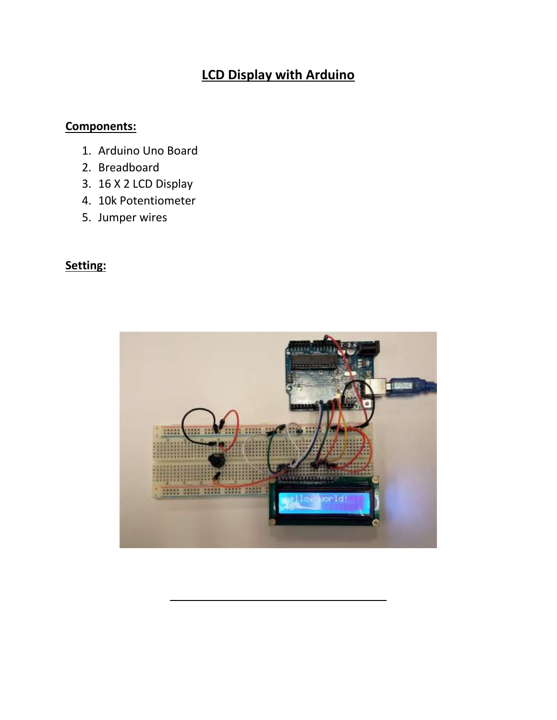# **LCD Display with Arduino**

### **Components:**

- 1. Arduino Uno Board
- 2. Breadboard
- 3. 16 X 2 LCD Display
- 4. 10k Potentiometer
- 5. Jumper wires

### **Setting:**

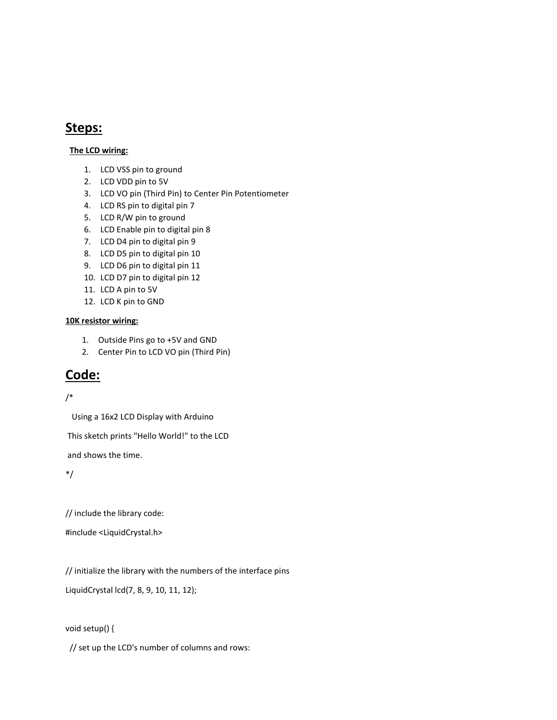### **Steps:**

#### **The LCD wiring:**

- 1. LCD VSS pin to ground
- 2. LCD VDD pin to 5V
- 3. LCD VO pin (Third Pin) to Center Pin Potentiometer
- 4. LCD RS pin to digital pin 7
- 5. LCD R/W pin to ground
- 6. LCD Enable pin to digital pin 8
- 7. LCD D4 pin to digital pin 9
- 8. LCD D5 pin to digital pin 10
- 9. LCD D6 pin to digital pin 11
- 10. LCD D7 pin to digital pin 12
- 11. LCD A pin to 5V
- 12. LCD K pin to GND

#### **10K resistor wiring:**

- 1. Outside Pins go to +5V and GND
- 2. Center Pin to LCD VO pin (Third Pin)

## **Code:**

#### /\*

Using a 16x2 LCD Display with Arduino

This sketch prints "Hello World!" to the LCD

and shows the time.

\*/

// include the library code:

#include <LiquidCrystal.h>

// initialize the library with the numbers of the interface pins

LiquidCrystal lcd(7, 8, 9, 10, 11, 12);

#### void setup() {

// set up the LCD's number of columns and rows: